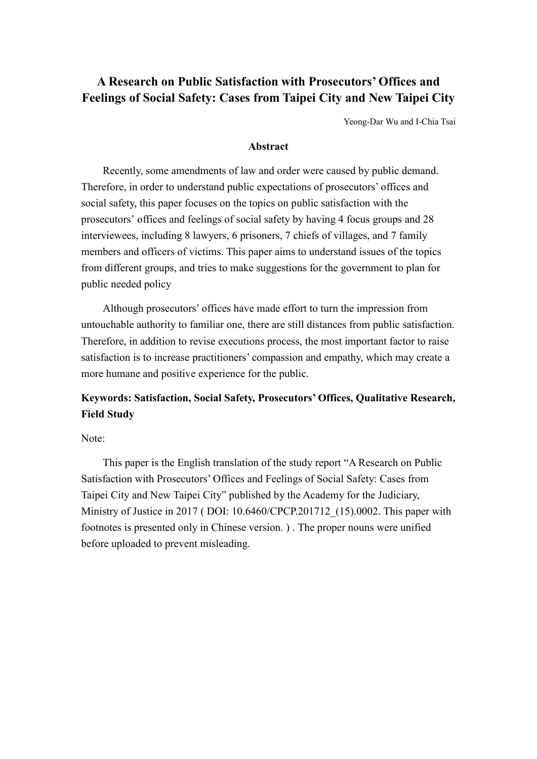# **A Research on Public Satisfaction with Prosecutors' Offices and Feelings of Social Safety: Cases from Taipei City and New Taipei City**

Yeong-Dar Wu and I-Chia Tsai

## **Abstract**

Recently, some amendments of law and order were caused by public demand. Therefore, in order to understand public expectations of prosecutors' offices and social safety, this paper focuses on the topics on public satisfaction with the prosecutors' offices and feelings of social safety by having 4 focus groups and 28 interviewees, including 8 lawyers, 6 prisoners, 7 chiefs of villages, and 7 family members and officers of victims. This paper aims to understand issues of the topics from different groups, and tries to make suggestions for the government to plan for public needed policy

Although prosecutors' offices have made effort to turn the impression from untouchable authority to familiar one, there are still distances from public satisfaction. Therefore, in addition to revise executions process, the most important factor to raise satisfaction is to increase practitioners' compassion and empathy, which may create a more humane and positive experience for the public.

# **Keywords: Satisfaction, Social Safety, Prosecutors' Offices, Qualitative Research, Field Study**

# Note:

This paper is the English translation of the study report "A Research on Public Satisfaction with Prosecutors' Offices and Feelings of Social Safety: Cases from Taipei City and New Taipei City" published by the Academy for the Judiciary, Ministry of Justice in 2017 ( DOI: 10.6460/CPCP.201712\_(15).0002. This paper with footnotes is presented only in Chinese version. ) . The proper nouns were unified before uploaded to prevent misleading.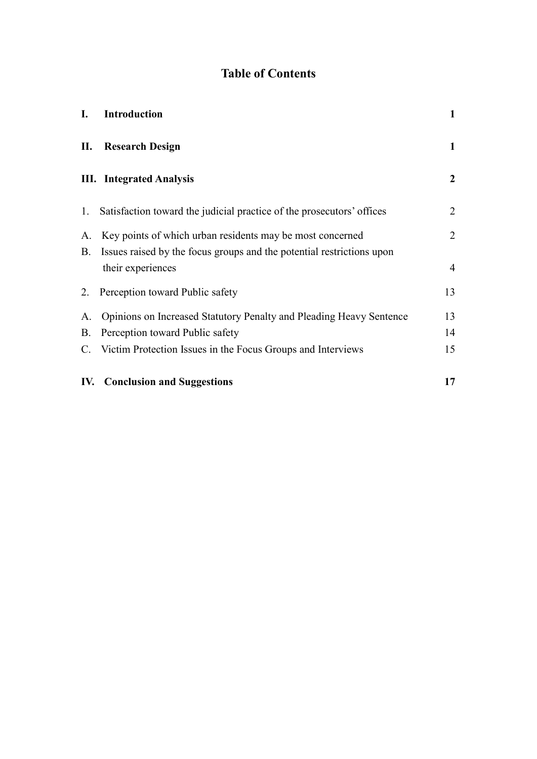# **Table of Contents**

| I.        | <b>Introduction</b>                                                    | $\mathbf{1}$   |
|-----------|------------------------------------------------------------------------|----------------|
| П.        | <b>Research Design</b>                                                 | $\mathbf{1}$   |
|           | <b>III.</b> Integrated Analysis                                        | $\mathbf{2}$   |
| 1.        | Satisfaction toward the judicial practice of the prosecutors' offices  | $\overline{2}$ |
| А.        | Key points of which urban residents may be most concerned              | $\overline{2}$ |
| <b>B.</b> | Issues raised by the focus groups and the potential restrictions upon  |                |
|           | their experiences                                                      | 4              |
|           | 2. Perception toward Public safety                                     | 13             |
|           | A. Opinions on Increased Statutory Penalty and Pleading Heavy Sentence | 13             |
|           | B. Perception toward Public safety                                     | 14             |
|           | C. Victim Protection Issues in the Focus Groups and Interviews         | 15             |
|           | <b>IV.</b> Conclusion and Suggestions                                  | 17             |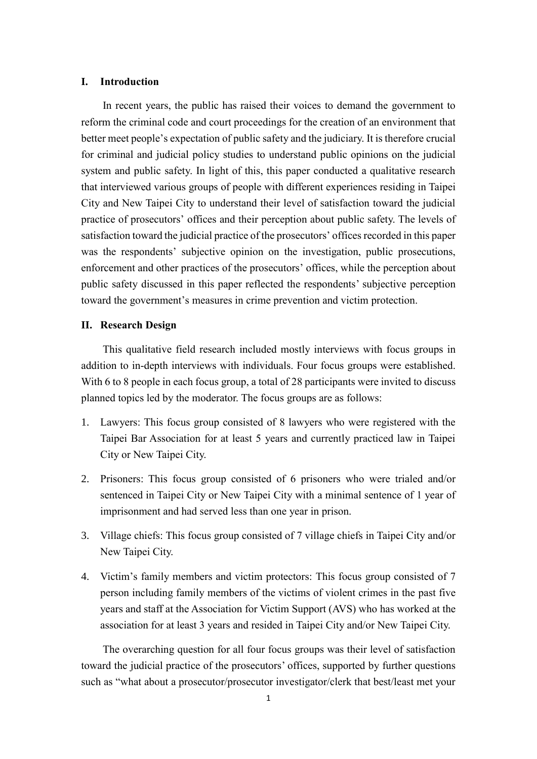## <span id="page-2-0"></span>**I. Introduction**

In recent years, the public has raised their voices to demand the government to reform the criminal code and court proceedings for the creation of an environment that better meet people's expectation of public safety and the judiciary. It is therefore crucial for criminal and judicial policy studies to understand public opinions on the judicial system and public safety. In light of this, this paper conducted a qualitative research that interviewed various groups of people with different experiences residing in Taipei City and New Taipei City to understand their level of satisfaction toward the judicial practice of prosecutors' offices and their perception about public safety. The levels of satisfaction toward the judicial practice of the prosecutors' offices recorded in this paper was the respondents' subjective opinion on the investigation, public prosecutions, enforcement and other practices of the prosecutors' offices, while the perception about public safety discussed in this paper reflected the respondents' subjective perception toward the government's measures in crime prevention and victim protection.

#### <span id="page-2-1"></span>**II. Research Design**

This qualitative field research included mostly interviews with focus groups in addition to in-depth interviews with individuals. Four focus groups were established. With 6 to 8 people in each focus group, a total of 28 participants were invited to discuss planned topics led by the moderator. The focus groups are as follows:

- 1. Lawyers: This focus group consisted of 8 lawyers who were registered with the Taipei Bar Association for at least 5 years and currently practiced law in Taipei City or New Taipei City.
- 2. Prisoners: This focus group consisted of 6 prisoners who were trialed and/or sentenced in Taipei City or New Taipei City with a minimal sentence of 1 year of imprisonment and had served less than one year in prison.
- 3. Village chiefs: This focus group consisted of 7 village chiefs in Taipei City and/or New Taipei City.
- 4. Victim's family members and victim protectors: This focus group consisted of 7 person including family members of the victims of violent crimes in the past five years and staff at the Association for Victim Support (AVS) who has worked at the association for at least 3 years and resided in Taipei City and/or New Taipei City.

The overarching question for all four focus groups was their level of satisfaction toward the judicial practice of the prosecutors' offices, supported by further questions such as "what about a prosecutor/prosecutor investigator/clerk that best/least met your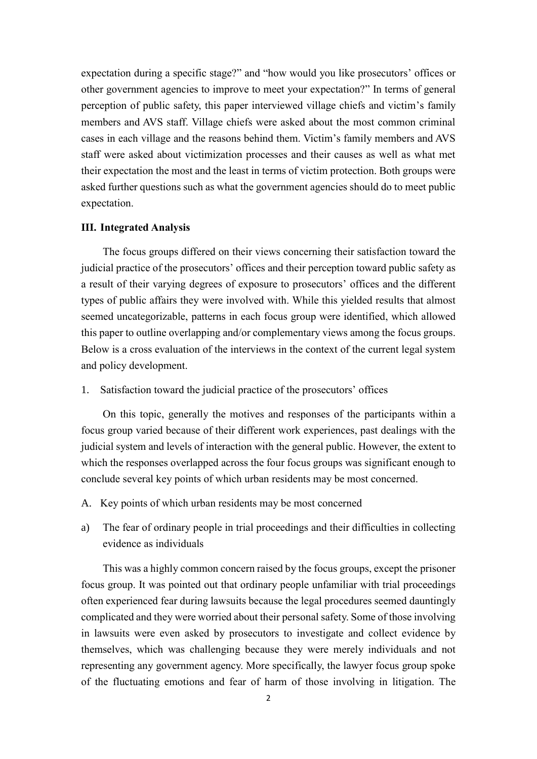expectation during a specific stage?" and "how would you like prosecutors' offices or other government agencies to improve to meet your expectation?" In terms of general perception of public safety, this paper interviewed village chiefs and victim's family members and AVS staff. Village chiefs were asked about the most common criminal cases in each village and the reasons behind them. Victim's family members and AVS staff were asked about victimization processes and their causes as well as what met their expectation the most and the least in terms of victim protection. Both groups were asked further questions such as what the government agencies should do to meet public expectation.

#### <span id="page-3-0"></span>**III. Integrated Analysis**

The focus groups differed on their views concerning their satisfaction toward the judicial practice of the prosecutors' offices and their perception toward public safety as a result of their varying degrees of exposure to prosecutors' offices and the different types of public affairs they were involved with. While this yielded results that almost seemed uncategorizable, patterns in each focus group were identified, which allowed this paper to outline overlapping and/or complementary views among the focus groups. Below is a cross evaluation of the interviews in the context of the current legal system and policy development.

<span id="page-3-1"></span>1. Satisfaction toward the judicial practice of the prosecutors' offices

On this topic, generally the motives and responses of the participants within a focus group varied because of their different work experiences, past dealings with the judicial system and levels of interaction with the general public. However, the extent to which the responses overlapped across the four focus groups was significant enough to conclude several key points of which urban residents may be most concerned.

- <span id="page-3-2"></span>A. Key points of which urban residents may be most concerned
- a) The fear of ordinary people in trial proceedings and their difficulties in collecting evidence as individuals

This was a highly common concern raised by the focus groups, except the prisoner focus group. It was pointed out that ordinary people unfamiliar with trial proceedings often experienced fear during lawsuits because the legal procedures seemed dauntingly complicated and they were worried about their personal safety. Some of those involving in lawsuits were even asked by prosecutors to investigate and collect evidence by themselves, which was challenging because they were merely individuals and not representing any government agency. More specifically, the lawyer focus group spoke of the fluctuating emotions and fear of harm of those involving in litigation. The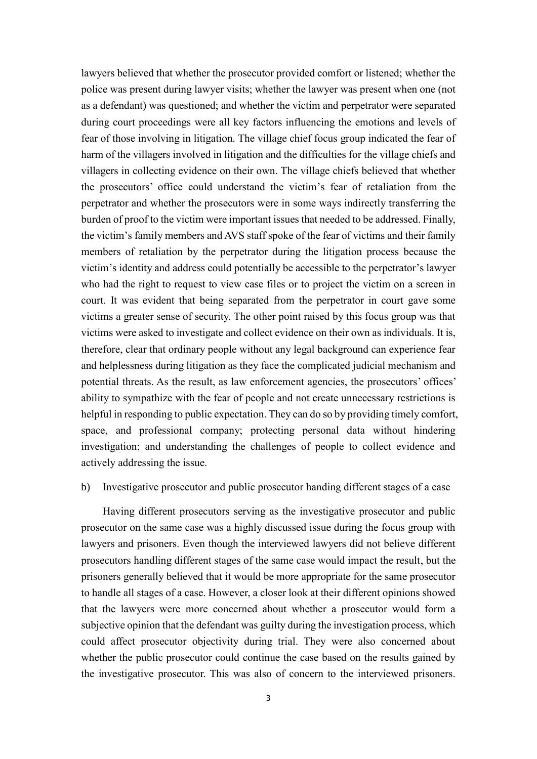lawyers believed that whether the prosecutor provided comfort or listened; whether the police was present during lawyer visits; whether the lawyer was present when one (not as a defendant) was questioned; and whether the victim and perpetrator were separated during court proceedings were all key factors influencing the emotions and levels of fear of those involving in litigation. The village chief focus group indicated the fear of harm of the villagers involved in litigation and the difficulties for the village chiefs and villagers in collecting evidence on their own. The village chiefs believed that whether the prosecutors' office could understand the victim's fear of retaliation from the perpetrator and whether the prosecutors were in some ways indirectly transferring the burden of proof to the victim were important issues that needed to be addressed. Finally, the victim's family members and AVS staff spoke of the fear of victims and their family members of retaliation by the perpetrator during the litigation process because the victim's identity and address could potentially be accessible to the perpetrator's lawyer who had the right to request to view case files or to project the victim on a screen in court. It was evident that being separated from the perpetrator in court gave some victims a greater sense of security. The other point raised by this focus group was that victims were asked to investigate and collect evidence on their own as individuals. It is, therefore, clear that ordinary people without any legal background can experience fear and helplessness during litigation as they face the complicated judicial mechanism and potential threats. As the result, as law enforcement agencies, the prosecutors' offices' ability to sympathize with the fear of people and not create unnecessary restrictions is helpful in responding to public expectation. They can do so by providing timely comfort, space, and professional company; protecting personal data without hindering investigation; and understanding the challenges of people to collect evidence and actively addressing the issue.

## b) Investigative prosecutor and public prosecutor handing different stages of a case

Having different prosecutors serving as the investigative prosecutor and public prosecutor on the same case was a highly discussed issue during the focus group with lawyers and prisoners. Even though the interviewed lawyers did not believe different prosecutors handling different stages of the same case would impact the result, but the prisoners generally believed that it would be more appropriate for the same prosecutor to handle all stages of a case. However, a closer look at their different opinions showed that the lawyers were more concerned about whether a prosecutor would form a subjective opinion that the defendant was guilty during the investigation process, which could affect prosecutor objectivity during trial. They were also concerned about whether the public prosecutor could continue the case based on the results gained by the investigative prosecutor. This was also of concern to the interviewed prisoners.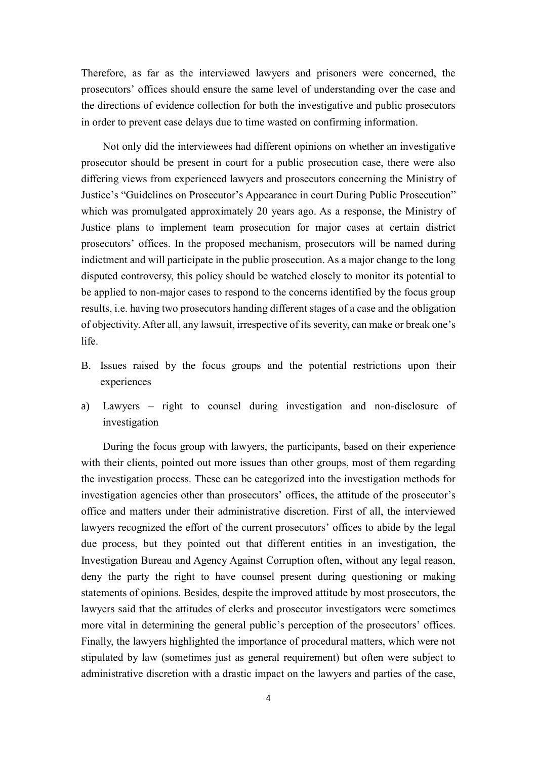Therefore, as far as the interviewed lawyers and prisoners were concerned, the prosecutors' offices should ensure the same level of understanding over the case and the directions of evidence collection for both the investigative and public prosecutors in order to prevent case delays due to time wasted on confirming information.

Not only did the interviewees had different opinions on whether an investigative prosecutor should be present in court for a public prosecution case, there were also differing views from experienced lawyers and prosecutors concerning the Ministry of Justice's "Guidelines on Prosecutor's Appearance in court During Public Prosecution" which was promulgated approximately 20 years ago. As a response, the Ministry of Justice plans to implement team prosecution for major cases at certain district prosecutors' offices. In the proposed mechanism, prosecutors will be named during indictment and will participate in the public prosecution. As a major change to the long disputed controversy, this policy should be watched closely to monitor its potential to be applied to non-major cases to respond to the concerns identified by the focus group results, i.e. having two prosecutors handing different stages of a case and the obligation of objectivity. After all, any lawsuit, irrespective of its severity, can make or break one's life.

- <span id="page-5-0"></span>B. Issues raised by the focus groups and the potential restrictions upon their experiences
- a) Lawyers right to counsel during investigation and non-disclosure of investigation

During the focus group with lawyers, the participants, based on their experience with their clients, pointed out more issues than other groups, most of them regarding the investigation process. These can be categorized into the investigation methods for investigation agencies other than prosecutors' offices, the attitude of the prosecutor's office and matters under their administrative discretion. First of all, the interviewed lawyers recognized the effort of the current prosecutors' offices to abide by the legal due process, but they pointed out that different entities in an investigation, the Investigation Bureau and Agency Against Corruption often, without any legal reason, deny the party the right to have counsel present during questioning or making statements of opinions. Besides, despite the improved attitude by most prosecutors, the lawyers said that the attitudes of clerks and prosecutor investigators were sometimes more vital in determining the general public's perception of the prosecutors' offices. Finally, the lawyers highlighted the importance of procedural matters, which were not stipulated by law (sometimes just as general requirement) but often were subject to administrative discretion with a drastic impact on the lawyers and parties of the case,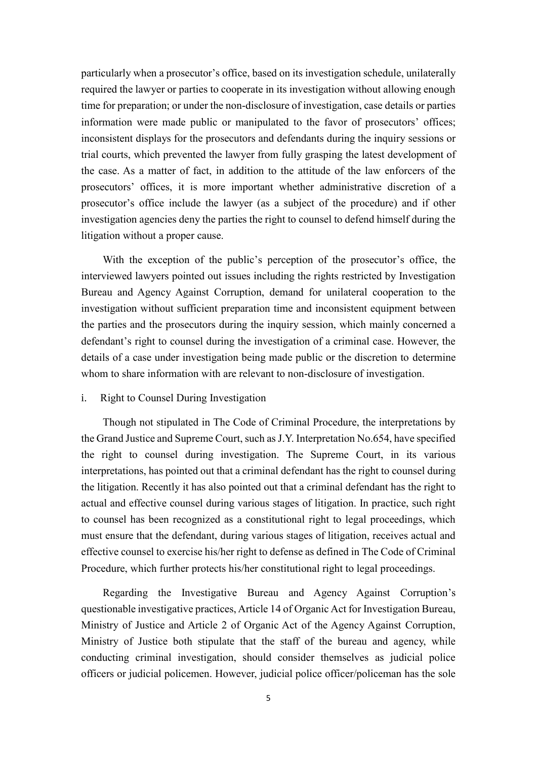particularly when a prosecutor's office, based on its investigation schedule, unilaterally required the lawyer or parties to cooperate in its investigation without allowing enough time for preparation; or under the non-disclosure of investigation, case details or parties information were made public or manipulated to the favor of prosecutors' offices; inconsistent displays for the prosecutors and defendants during the inquiry sessions or trial courts, which prevented the lawyer from fully grasping the latest development of the case. As a matter of fact, in addition to the attitude of the law enforcers of the prosecutors' offices, it is more important whether administrative discretion of a prosecutor's office include the lawyer (as a subject of the procedure) and if other investigation agencies deny the parties the right to counsel to defend himself during the litigation without a proper cause.

With the exception of the public's perception of the prosecutor's office, the interviewed lawyers pointed out issues including the rights restricted by Investigation Bureau and Agency Against Corruption, demand for unilateral cooperation to the investigation without sufficient preparation time and inconsistent equipment between the parties and the prosecutors during the inquiry session, which mainly concerned a defendant's right to counsel during the investigation of a criminal case. However, the details of a case under investigation being made public or the discretion to determine whom to share information with are relevant to non-disclosure of investigation.

## i. Right to Counsel During Investigation

Though not stipulated in The Code of Criminal Procedure, the interpretations by the Grand Justice and Supreme Court, such as J.Y. Interpretation No.654, have specified the right to counsel during investigation. The Supreme Court, in its various interpretations, has pointed out that a criminal defendant has the right to counsel during the litigation. Recently it has also pointed out that a criminal defendant has the right to actual and effective counsel during various stages of litigation. In practice, such right to counsel has been recognized as a constitutional right to legal proceedings, which must ensure that the defendant, during various stages of litigation, receives actual and effective counsel to exercise his/her right to defense as defined in The Code of Criminal Procedure, which further protects his/her constitutional right to legal proceedings.

Regarding the Investigative Bureau and Agency Against Corruption's questionable investigative practices, Article 14 of Organic Act for Investigation Bureau, Ministry of Justice and Article 2 of Organic Act of the Agency Against Corruption, Ministry of Justice both stipulate that the staff of the bureau and agency, while conducting criminal investigation, should consider themselves as judicial police officers or judicial policemen. However, judicial police officer/policeman has the sole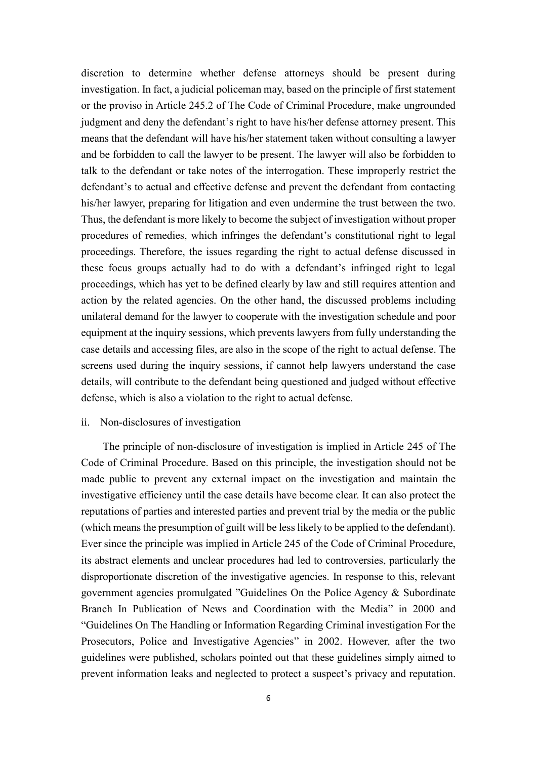discretion to determine whether defense attorneys should be present during investigation. In fact, a judicial policeman may, based on the principle of first statement or the proviso in Article 245.2 of The Code of Criminal Procedure, make ungrounded judgment and deny the defendant's right to have his/her defense attorney present. This means that the defendant will have his/her statement taken without consulting a lawyer and be forbidden to call the lawyer to be present. The lawyer will also be forbidden to talk to the defendant or take notes of the interrogation. These improperly restrict the defendant's to actual and effective defense and prevent the defendant from contacting his/her lawyer, preparing for litigation and even undermine the trust between the two. Thus, the defendant is more likely to become the subject of investigation without proper procedures of remedies, which infringes the defendant's constitutional right to legal proceedings. Therefore, the issues regarding the right to actual defense discussed in these focus groups actually had to do with a defendant's infringed right to legal proceedings, which has yet to be defined clearly by law and still requires attention and action by the related agencies. On the other hand, the discussed problems including unilateral demand for the lawyer to cooperate with the investigation schedule and poor equipment at the inquiry sessions, which prevents lawyers from fully understanding the case details and accessing files, are also in the scope of the right to actual defense. The screens used during the inquiry sessions, if cannot help lawyers understand the case details, will contribute to the defendant being questioned and judged without effective defense, which is also a violation to the right to actual defense.

#### ii. Non-disclosures of investigation

The principle of non-disclosure of investigation is implied in Article 245 of The Code of Criminal Procedure. Based on this principle, the investigation should not be made public to prevent any external impact on the investigation and maintain the investigative efficiency until the case details have become clear. It can also protect the reputations of parties and interested parties and prevent trial by the media or the public (which means the presumption of guilt will be less likely to be applied to the defendant). Ever since the principle was implied in Article 245 of the Code of Criminal Procedure, its abstract elements and unclear procedures had led to controversies, particularly the disproportionate discretion of the investigative agencies. In response to this, relevant government agencies promulgated "Guidelines On the Police Agency & Subordinate Branch In Publication of News and Coordination with the Media" in 2000 and "Guidelines On The Handling or Information Regarding Criminal investigation For the Prosecutors, Police and Investigative Agencies" in 2002. However, after the two guidelines were published, scholars pointed out that these guidelines simply aimed to prevent information leaks and neglected to protect a suspect's privacy and reputation.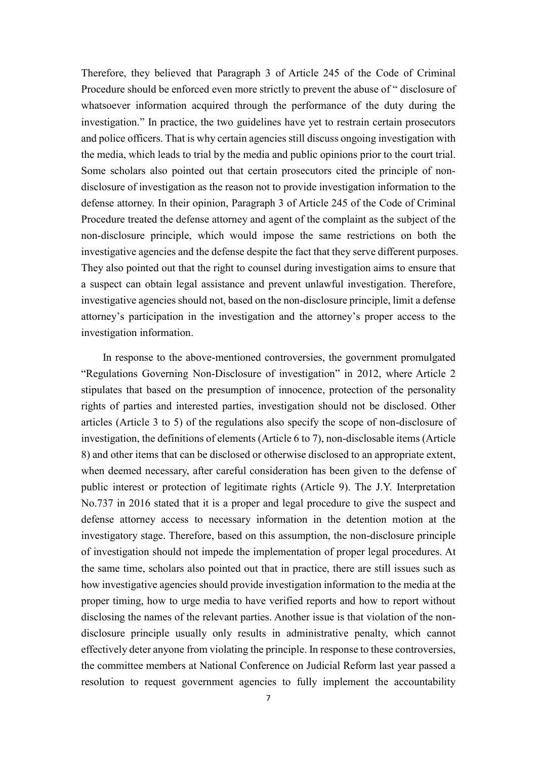Therefore, they believed that Paragraph 3 of Article 245 of the Code of Criminal Procedure should be enforced even more strictly to prevent the abuse of " disclosure of whatsoever information acquired through the performance of the duty during the investigation." In practice, the two guidelines have yet to restrain certain prosecutors and police officers. That is why certain agencies still discuss ongoing investigation with the media, which leads to trial by the media and public opinions prior to the court trial. Some scholars also pointed out that certain prosecutors cited the principle of nondisclosure of investigation as the reason not to provide investigation information to the defense attorney. In their opinion, Paragraph 3 of Article 245 of the Code of Criminal Procedure treated the defense attorney and agent of the complaint as the subject of the non-disclosure principle, which would impose the same restrictions on both the investigative agencies and the defense despite the fact that they serve different purposes. They also pointed out that the right to counsel during investigation aims to ensure that a suspect can obtain legal assistance and prevent unlawful investigation. Therefore, investigative agencies should not, based on the non-disclosure principle, limit a defense attorney's participation in the investigation and the attorney's proper access to the investigation information.

In response to the above-mentioned controversies, the government promulgated "Regulations Governing Non-Disclosure of investigation" in 2012, where Article 2 stipulates that based on the presumption of innocence, protection of the personality rights of parties and interested parties, investigation should not be disclosed. Other articles (Article 3 to 5) of the regulations also specify the scope of non-disclosure of investigation, the definitions of elements (Article 6 to 7), non-disclosable items (Article 8) and other items that can be disclosed or otherwise disclosed to an appropriate extent, when deemed necessary, after careful consideration has been given to the defense of public interest or protection of legitimate rights (Article 9). The J.Y. Interpretation No.737 in 2016 stated that it is a proper and legal procedure to give the suspect and defense attorney access to necessary information in the detention motion at the investigatory stage. Therefore, based on this assumption, the non-disclosure principle of investigation should not impede the implementation of proper legal procedures. At the same time, scholars also pointed out that in practice, there are still issues such as how investigative agencies should provide investigation information to the media at the proper timing, how to urge media to have verified reports and how to report without disclosing the names of the relevant parties. Another issue is that violation of the nondisclosure principle usually only results in administrative penalty, which cannot effectively deter anyone from violating the principle. In response to these controversies, the committee members at National Conference on Judicial Reform last year passed a resolution to request government agencies to fully implement the accountability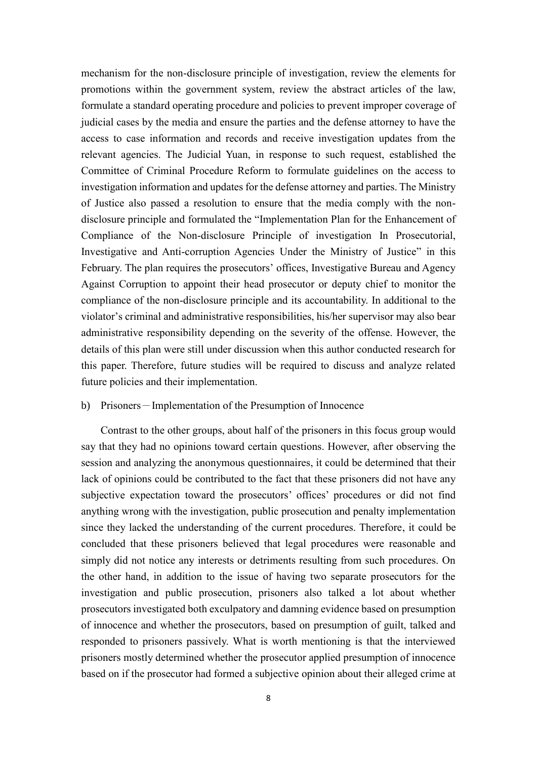mechanism for the non-disclosure principle of investigation, review the elements for promotions within the government system, review the abstract articles of the law, formulate a standard operating procedure and policies to prevent improper coverage of judicial cases by the media and ensure the parties and the defense attorney to have the access to case information and records and receive investigation updates from the relevant agencies. The Judicial Yuan, in response to such request, established the Committee of Criminal Procedure Reform to formulate guidelines on the access to investigation information and updates for the defense attorney and parties. The Ministry of Justice also passed a resolution to ensure that the media comply with the nondisclosure principle and formulated the "Implementation Plan for the Enhancement of Compliance of the Non-disclosure Principle of investigation In Prosecutorial, Investigative and Anti-corruption Agencies Under the Ministry of Justice" in this February. The plan requires the prosecutors' offices, Investigative Bureau and Agency Against Corruption to appoint their head prosecutor or deputy chief to monitor the compliance of the non-disclosure principle and its accountability. In additional to the violator's criminal and administrative responsibilities, his/her supervisor may also bear administrative responsibility depending on the severity of the offense. However, the details of this plan were still under discussion when this author conducted research for this paper. Therefore, future studies will be required to discuss and analyze related future policies and their implementation.

# b) Prisoners-Implementation of the Presumption of Innocence

Contrast to the other groups, about half of the prisoners in this focus group would say that they had no opinions toward certain questions. However, after observing the session and analyzing the anonymous questionnaires, it could be determined that their lack of opinions could be contributed to the fact that these prisoners did not have any subjective expectation toward the prosecutors' offices' procedures or did not find anything wrong with the investigation, public prosecution and penalty implementation since they lacked the understanding of the current procedures. Therefore, it could be concluded that these prisoners believed that legal procedures were reasonable and simply did not notice any interests or detriments resulting from such procedures. On the other hand, in addition to the issue of having two separate prosecutors for the investigation and public prosecution, prisoners also talked a lot about whether prosecutors investigated both exculpatory and damning evidence based on presumption of innocence and whether the prosecutors, based on presumption of guilt, talked and responded to prisoners passively. What is worth mentioning is that the interviewed prisoners mostly determined whether the prosecutor applied presumption of innocence based on if the prosecutor had formed a subjective opinion about their alleged crime at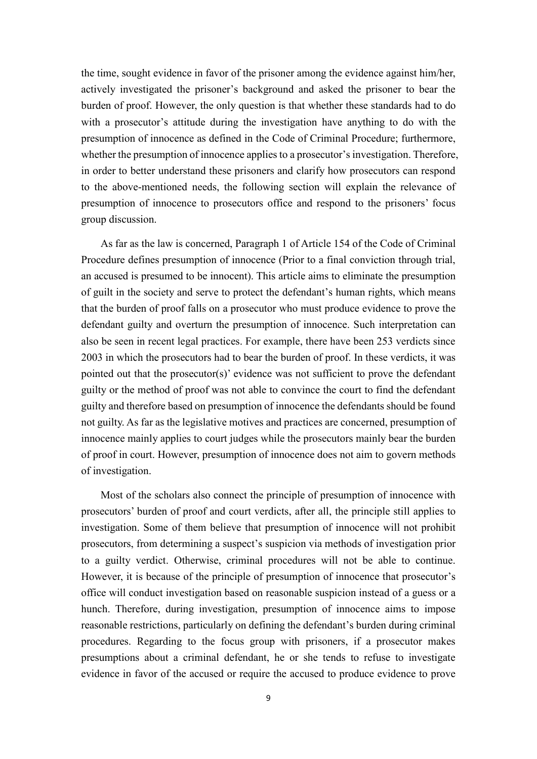the time, sought evidence in favor of the prisoner among the evidence against him/her, actively investigated the prisoner's background and asked the prisoner to bear the burden of proof. However, the only question is that whether these standards had to do with a prosecutor's attitude during the investigation have anything to do with the presumption of innocence as defined in the Code of Criminal Procedure; furthermore, whether the presumption of innocence applies to a prosecutor's investigation. Therefore, in order to better understand these prisoners and clarify how prosecutors can respond to the above-mentioned needs, the following section will explain the relevance of presumption of innocence to prosecutors office and respond to the prisoners' focus group discussion.

As far as the law is concerned, Paragraph 1 of Article 154 of the Code of Criminal Procedure defines presumption of innocence (Prior to a final conviction through trial, an accused is presumed to be innocent). This article aims to eliminate the presumption of guilt in the society and serve to protect the defendant's human rights, which means that the burden of proof falls on a prosecutor who must produce evidence to prove the defendant guilty and overturn the presumption of innocence. Such interpretation can also be seen in recent legal practices. For example, there have been 253 verdicts since 2003 in which the prosecutors had to bear the burden of proof. In these verdicts, it was pointed out that the prosecutor(s)' evidence was not sufficient to prove the defendant guilty or the method of proof was not able to convince the court to find the defendant guilty and therefore based on presumption of innocence the defendants should be found not guilty. As far as the legislative motives and practices are concerned, presumption of innocence mainly applies to court judges while the prosecutors mainly bear the burden of proof in court. However, presumption of innocence does not aim to govern methods of investigation.

Most of the scholars also connect the principle of presumption of innocence with prosecutors' burden of proof and court verdicts, after all, the principle still applies to investigation. Some of them believe that presumption of innocence will not prohibit prosecutors, from determining a suspect's suspicion via methods of investigation prior to a guilty verdict. Otherwise, criminal procedures will not be able to continue. However, it is because of the principle of presumption of innocence that prosecutor's office will conduct investigation based on reasonable suspicion instead of a guess or a hunch. Therefore, during investigation, presumption of innocence aims to impose reasonable restrictions, particularly on defining the defendant's burden during criminal procedures. Regarding to the focus group with prisoners, if a prosecutor makes presumptions about a criminal defendant, he or she tends to refuse to investigate evidence in favor of the accused or require the accused to produce evidence to prove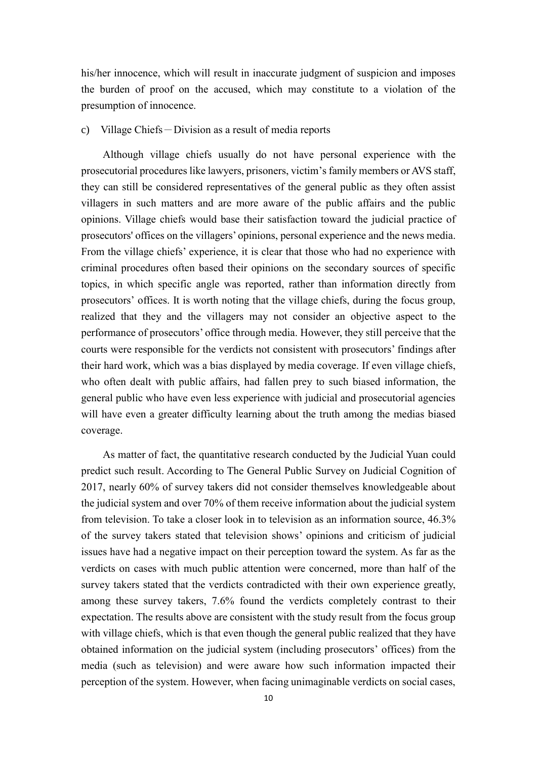his/her innocence, which will result in inaccurate judgment of suspicion and imposes the burden of proof on the accused, which may constitute to a violation of the presumption of innocence.

## c) Village Chiefs-Division as a result of media reports

Although village chiefs usually do not have personal experience with the prosecutorial procedures like lawyers, prisoners, victim's family members or AVS staff, they can still be considered representatives of the general public as they often assist villagers in such matters and are more aware of the public affairs and the public opinions. Village chiefs would base their satisfaction toward the judicial practice of prosecutors' offices on the villagers' opinions, personal experience and the news media. From the village chiefs' experience, it is clear that those who had no experience with criminal procedures often based their opinions on the secondary sources of specific topics, in which specific angle was reported, rather than information directly from prosecutors' offices. It is worth noting that the village chiefs, during the focus group, realized that they and the villagers may not consider an objective aspect to the performance of prosecutors' office through media. However, they still perceive that the courts were responsible for the verdicts not consistent with prosecutors' findings after their hard work, which was a bias displayed by media coverage. If even village chiefs, who often dealt with public affairs, had fallen prey to such biased information, the general public who have even less experience with judicial and prosecutorial agencies will have even a greater difficulty learning about the truth among the medias biased coverage.

As matter of fact, the quantitative research conducted by the Judicial Yuan could predict such result. According to The General Public Survey on Judicial Cognition of 2017, nearly 60% of survey takers did not consider themselves knowledgeable about the judicial system and over 70% of them receive information about the judicial system from television. To take a closer look in to television as an information source, 46.3% of the survey takers stated that television shows' opinions and criticism of judicial issues have had a negative impact on their perception toward the system. As far as the verdicts on cases with much public attention were concerned, more than half of the survey takers stated that the verdicts contradicted with their own experience greatly, among these survey takers, 7.6% found the verdicts completely contrast to their expectation. The results above are consistent with the study result from the focus group with village chiefs, which is that even though the general public realized that they have obtained information on the judicial system (including prosecutors' offices) from the media (such as television) and were aware how such information impacted their perception of the system. However, when facing unimaginable verdicts on social cases,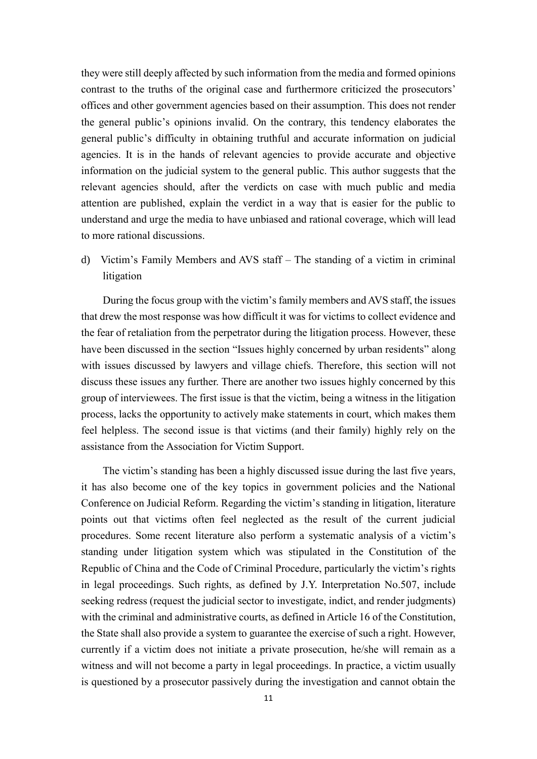they were still deeply affected by such information from the media and formed opinions contrast to the truths of the original case and furthermore criticized the prosecutors' offices and other government agencies based on their assumption. This does not render the general public's opinions invalid. On the contrary, this tendency elaborates the general public's difficulty in obtaining truthful and accurate information on judicial agencies. It is in the hands of relevant agencies to provide accurate and objective information on the judicial system to the general public. This author suggests that the relevant agencies should, after the verdicts on case with much public and media attention are published, explain the verdict in a way that is easier for the public to understand and urge the media to have unbiased and rational coverage, which will lead to more rational discussions.

d) Victim's Family Members and AVS staff – The standing of a victim in criminal litigation

During the focus group with the victim's family members and AVS staff, the issues that drew the most response was how difficult it was for victims to collect evidence and the fear of retaliation from the perpetrator during the litigation process. However, these have been discussed in the section "Issues highly concerned by urban residents" along with issues discussed by lawyers and village chiefs. Therefore, this section will not discuss these issues any further. There are another two issues highly concerned by this group of interviewees. The first issue is that the victim, being a witness in the litigation process, lacks the opportunity to actively make statements in court, which makes them feel helpless. The second issue is that victims (and their family) highly rely on the assistance from the Association for Victim Support.

The victim's standing has been a highly discussed issue during the last five years, it has also become one of the key topics in government policies and the National Conference on Judicial Reform. Regarding the victim's standing in litigation, literature points out that victims often feel neglected as the result of the current judicial procedures. Some recent literature also perform a systematic analysis of a victim's standing under litigation system which was stipulated in the Constitution of the Republic of China and the Code of Criminal Procedure, particularly the victim's rights in legal proceedings. Such rights, as defined by J.Y. Interpretation No.507, include seeking redress (request the judicial sector to investigate, indict, and render judgments) with the criminal and administrative courts, as defined in Article 16 of the Constitution, the State shall also provide a system to guarantee the exercise of such a right. However, currently if a victim does not initiate a private prosecution, he/she will remain as a witness and will not become a party in legal proceedings. In practice, a victim usually is questioned by a prosecutor passively during the investigation and cannot obtain the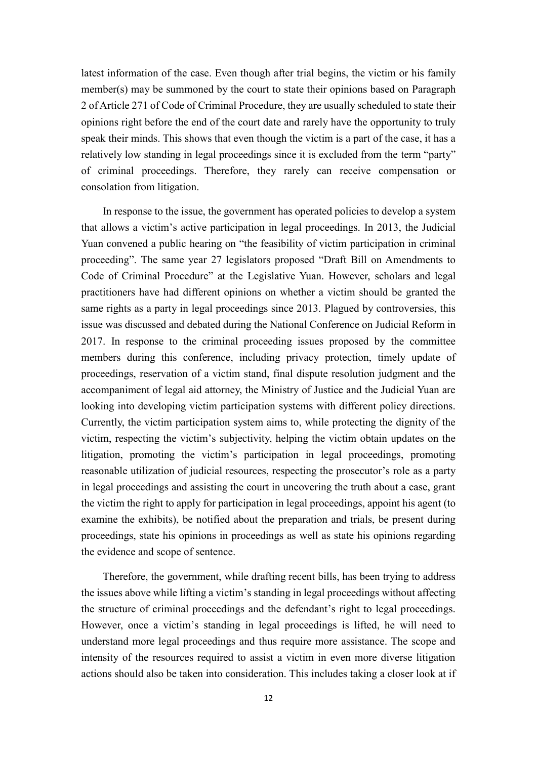latest information of the case. Even though after trial begins, the victim or his family member(s) may be summoned by the court to state their opinions based on Paragraph 2 of Article 271 of Code of Criminal Procedure, they are usually scheduled to state their opinions right before the end of the court date and rarely have the opportunity to truly speak their minds. This shows that even though the victim is a part of the case, it has a relatively low standing in legal proceedings since it is excluded from the term "party" of criminal proceedings. Therefore, they rarely can receive compensation or consolation from litigation.

In response to the issue, the government has operated policies to develop a system that allows a victim's active participation in legal proceedings. In 2013, the Judicial Yuan convened a public hearing on "the feasibility of victim participation in criminal proceeding". The same year 27 legislators proposed "Draft Bill on Amendments to Code of Criminal Procedure" at the Legislative Yuan. However, scholars and legal practitioners have had different opinions on whether a victim should be granted the same rights as a party in legal proceedings since 2013. Plagued by controversies, this issue was discussed and debated during the National Conference on Judicial Reform in 2017. In response to the criminal proceeding issues proposed by the committee members during this conference, including privacy protection, timely update of proceedings, reservation of a victim stand, final dispute resolution judgment and the accompaniment of legal aid attorney, the Ministry of Justice and the Judicial Yuan are looking into developing victim participation systems with different policy directions. Currently, the victim participation system aims to, while protecting the dignity of the victim, respecting the victim's subjectivity, helping the victim obtain updates on the litigation, promoting the victim's participation in legal proceedings, promoting reasonable utilization of judicial resources, respecting the prosecutor's role as a party in legal proceedings and assisting the court in uncovering the truth about a case, grant the victim the right to apply for participation in legal proceedings, appoint his agent (to examine the exhibits), be notified about the preparation and trials, be present during proceedings, state his opinions in proceedings as well as state his opinions regarding the evidence and scope of sentence.

Therefore, the government, while drafting recent bills, has been trying to address the issues above while lifting a victim's standing in legal proceedings without affecting the structure of criminal proceedings and the defendant's right to legal proceedings. However, once a victim's standing in legal proceedings is lifted, he will need to understand more legal proceedings and thus require more assistance. The scope and intensity of the resources required to assist a victim in even more diverse litigation actions should also be taken into consideration. This includes taking a closer look at if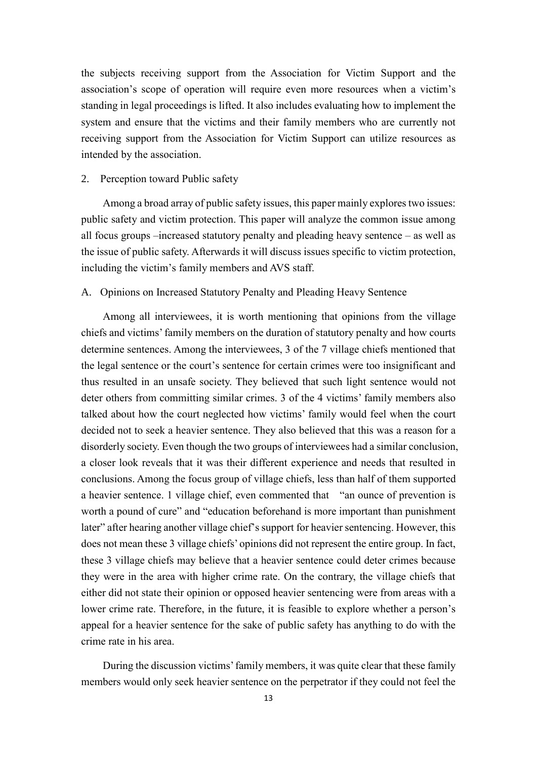the subjects receiving support from the Association for Victim Support and the association's scope of operation will require even more resources when a victim's standing in legal proceedings is lifted. It also includes evaluating how to implement the system and ensure that the victims and their family members who are currently not receiving support from the Association for Victim Support can utilize resources as intended by the association.

#### <span id="page-14-0"></span>2. Perception toward Public safety

Among a broad array of public safety issues, this paper mainly explores two issues: public safety and victim protection. This paper will analyze the common issue among all focus groups –increased statutory penalty and pleading heavy sentence – as well as the issue of public safety. Afterwards it will discuss issues specific to victim protection, including the victim's family members and AVS staff.

# <span id="page-14-1"></span>A. Opinions on Increased Statutory Penalty and Pleading Heavy Sentence

Among all interviewees, it is worth mentioning that opinions from the village chiefs and victims' family members on the duration of statutory penalty and how courts determine sentences. Among the interviewees, 3 of the 7 village chiefs mentioned that the legal sentence or the court's sentence for certain crimes were too insignificant and thus resulted in an unsafe society. They believed that such light sentence would not deter others from committing similar crimes. 3 of the 4 victims' family members also talked about how the court neglected how victims' family would feel when the court decided not to seek a heavier sentence. They also believed that this was a reason for a disorderly society. Even though the two groups of interviewees had a similar conclusion, a closer look reveals that it was their different experience and needs that resulted in conclusions. Among the focus group of village chiefs, less than half of them supported a heavier sentence. 1 village chief, even commented that "an ounce of prevention is worth a pound of cure" and "education beforehand is more important than punishment later" after hearing another village chief's support for heavier sentencing. However, this does not mean these 3 village chiefs' opinions did not represent the entire group. In fact, these 3 village chiefs may believe that a heavier sentence could deter crimes because they were in the area with higher crime rate. On the contrary, the village chiefs that either did not state their opinion or opposed heavier sentencing were from areas with a lower crime rate. Therefore, in the future, it is feasible to explore whether a person's appeal for a heavier sentence for the sake of public safety has anything to do with the crime rate in his area.

During the discussion victims' family members, it was quite clear that these family members would only seek heavier sentence on the perpetrator if they could not feel the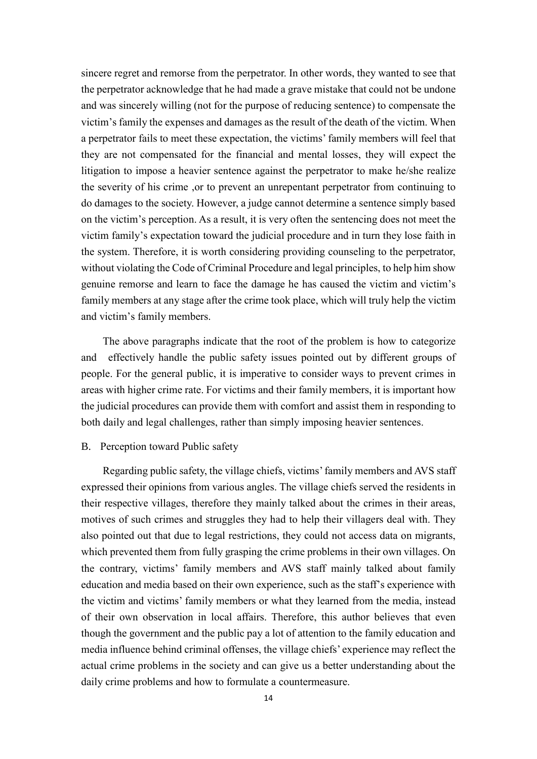sincere regret and remorse from the perpetrator. In other words, they wanted to see that the perpetrator acknowledge that he had made a grave mistake that could not be undone and was sincerely willing (not for the purpose of reducing sentence) to compensate the victim's family the expenses and damages as the result of the death of the victim. When a perpetrator fails to meet these expectation, the victims' family members will feel that they are not compensated for the financial and mental losses, they will expect the litigation to impose a heavier sentence against the perpetrator to make he/she realize the severity of his crime ,or to prevent an unrepentant perpetrator from continuing to do damages to the society. However, a judge cannot determine a sentence simply based on the victim's perception. As a result, it is very often the sentencing does not meet the victim family's expectation toward the judicial procedure and in turn they lose faith in the system. Therefore, it is worth considering providing counseling to the perpetrator, without violating the Code of Criminal Procedure and legal principles, to help him show genuine remorse and learn to face the damage he has caused the victim and victim's family members at any stage after the crime took place, which will truly help the victim and victim's family members.

The above paragraphs indicate that the root of the problem is how to categorize and effectively handle the public safety issues pointed out by different groups of people. For the general public, it is imperative to consider ways to prevent crimes in areas with higher crime rate. For victims and their family members, it is important how the judicial procedures can provide them with comfort and assist them in responding to both daily and legal challenges, rather than simply imposing heavier sentences.

#### <span id="page-15-0"></span>B. Perception toward Public safety

Regarding public safety, the village chiefs, victims' family members and AVS staff expressed their opinions from various angles. The village chiefs served the residents in their respective villages, therefore they mainly talked about the crimes in their areas, motives of such crimes and struggles they had to help their villagers deal with. They also pointed out that due to legal restrictions, they could not access data on migrants, which prevented them from fully grasping the crime problems in their own villages. On the contrary, victims' family members and AVS staff mainly talked about family education and media based on their own experience, such as the staff's experience with the victim and victims' family members or what they learned from the media, instead of their own observation in local affairs. Therefore, this author believes that even though the government and the public pay a lot of attention to the family education and media influence behind criminal offenses, the village chiefs' experience may reflect the actual crime problems in the society and can give us a better understanding about the daily crime problems and how to formulate a countermeasure.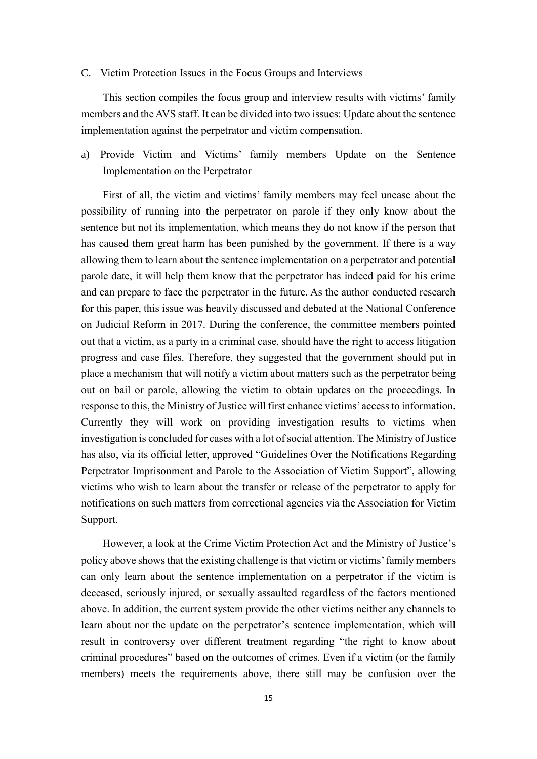#### <span id="page-16-0"></span>C. Victim Protection Issues in the Focus Groups and Interviews

This section compiles the focus group and interview results with victims' family members and the AVS staff. It can be divided into two issues: Update about the sentence implementation against the perpetrator and victim compensation.

a) Provide Victim and Victims' family members Update on the Sentence Implementation on the Perpetrator

First of all, the victim and victims' family members may feel unease about the possibility of running into the perpetrator on parole if they only know about the sentence but not its implementation, which means they do not know if the person that has caused them great harm has been punished by the government. If there is a way allowing them to learn about the sentence implementation on a perpetrator and potential parole date, it will help them know that the perpetrator has indeed paid for his crime and can prepare to face the perpetrator in the future. As the author conducted research for this paper, this issue was heavily discussed and debated at the National Conference on Judicial Reform in 2017. During the conference, the committee members pointed out that a victim, as a party in a criminal case, should have the right to access litigation progress and case files. Therefore, they suggested that the government should put in place a mechanism that will notify a victim about matters such as the perpetrator being out on bail or parole, allowing the victim to obtain updates on the proceedings. In response to this, the Ministry of Justice will first enhance victims' access to information. Currently they will work on providing investigation results to victims when investigation is concluded for cases with a lot of social attention. The Ministry of Justice has also, via its official letter, approved "Guidelines Over the Notifications Regarding Perpetrator Imprisonment and Parole to the Association of Victim Support", allowing victims who wish to learn about the transfer or release of the perpetrator to apply for notifications on such matters from correctional agencies via the Association for Victim Support.

However, a look at the Crime Victim Protection Act and the Ministry of Justice's policy above shows that the existing challenge is that victim or victims' family members can only learn about the sentence implementation on a perpetrator if the victim is deceased, seriously injured, or sexually assaulted regardless of the factors mentioned above. In addition, the current system provide the other victims neither any channels to learn about nor the update on the perpetrator's sentence implementation, which will result in controversy over different treatment regarding "the right to know about criminal procedures" based on the outcomes of crimes. Even if a victim (or the family members) meets the requirements above, there still may be confusion over the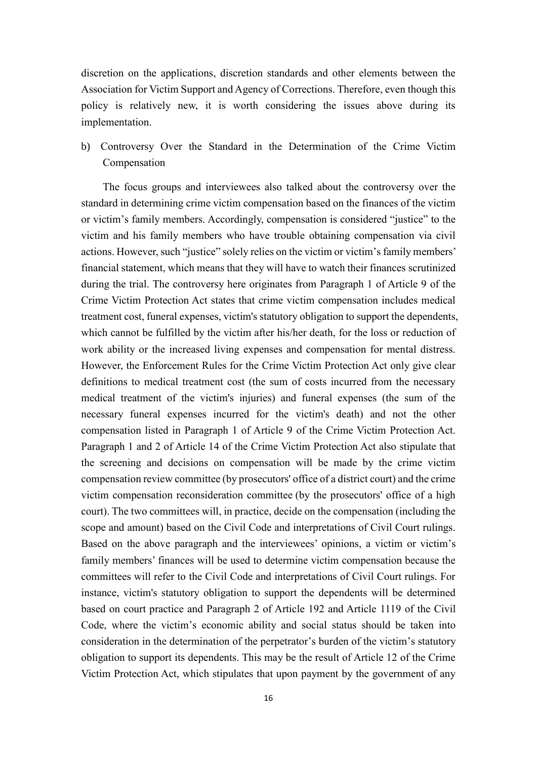discretion on the applications, discretion standards and other elements between the Association for Victim Support and Agency of Corrections. Therefore, even though this policy is relatively new, it is worth considering the issues above during its implementation.

b) Controversy Over the Standard in the Determination of the Crime Victim Compensation

The focus groups and interviewees also talked about the controversy over the standard in determining crime victim compensation based on the finances of the victim or victim's family members. Accordingly, compensation is considered "justice" to the victim and his family members who have trouble obtaining compensation via civil actions. However, such "justice" solely relies on the victim or victim's family members' financial statement, which means that they will have to watch their finances scrutinized during the trial. The controversy here originates from Paragraph 1 of Article 9 of the Crime Victim Protection Act states that crime victim compensation includes medical treatment cost, funeral expenses, victim's statutory obligation to support the dependents, which cannot be fulfilled by the victim after his/her death, for the loss or reduction of work ability or the increased living expenses and compensation for mental distress. However, the Enforcement Rules for the Crime Victim Protection Act only give clear definitions to medical treatment cost (the sum of costs incurred from the necessary medical treatment of the victim's injuries) and funeral expenses (the sum of the necessary funeral expenses incurred for the victim's death) and not the other compensation listed in Paragraph 1 of Article 9 of the Crime Victim Protection Act. Paragraph 1 and 2 of Article 14 of the Crime Victim Protection Act also stipulate that the screening and decisions on compensation will be made by the crime victim compensation review committee (by prosecutors' office of a district court) and the crime victim compensation reconsideration committee (by the prosecutors' office of a high court). The two committees will, in practice, decide on the compensation (including the scope and amount) based on the Civil Code and interpretations of Civil Court rulings. Based on the above paragraph and the interviewees' opinions, a victim or victim's family members' finances will be used to determine victim compensation because the committees will refer to the Civil Code and interpretations of Civil Court rulings. For instance, victim's statutory obligation to support the dependents will be determined based on court practice and Paragraph 2 of Article 192 and Article 1119 of the Civil Code, where the victim's economic ability and social status should be taken into consideration in the determination of the perpetrator's burden of the victim's statutory obligation to support its dependents. This may be the result of Article 12 of the Crime Victim Protection Act, which stipulates that upon payment by the government of any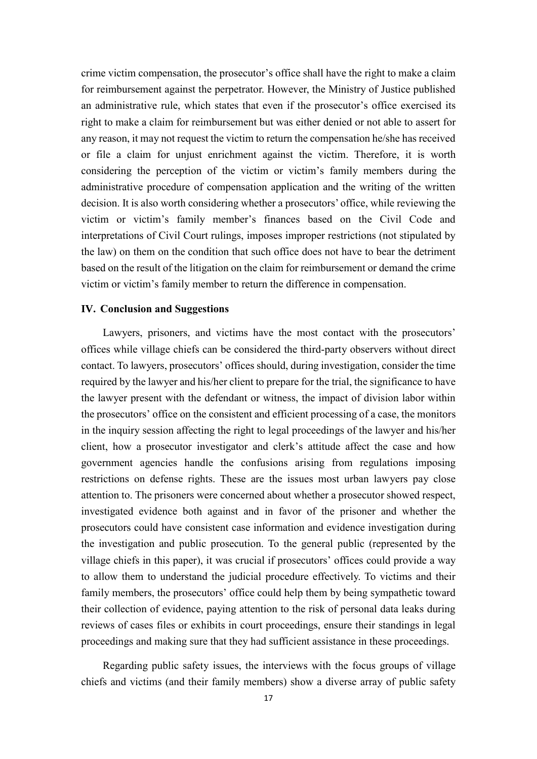crime victim compensation, the prosecutor's office shall have the right to make a claim for reimbursement against the perpetrator. However, the Ministry of Justice published an administrative rule, which states that even if the prosecutor's office exercised its right to make a claim for reimbursement but was either denied or not able to assert for any reason, it may not request the victim to return the compensation he/she has received or file a claim for unjust enrichment against the victim. Therefore, it is worth considering the perception of the victim or victim's family members during the administrative procedure of compensation application and the writing of the written decision. It is also worth considering whether a prosecutors' office, while reviewing the victim or victim's family member's finances based on the Civil Code and interpretations of Civil Court rulings, imposes improper restrictions (not stipulated by the law) on them on the condition that such office does not have to bear the detriment based on the result of the litigation on the claim for reimbursement or demand the crime victim or victim's family member to return the difference in compensation.

#### <span id="page-18-0"></span>**IV. Conclusion and Suggestions**

Lawyers, prisoners, and victims have the most contact with the prosecutors' offices while village chiefs can be considered the third-party observers without direct contact. To lawyers, prosecutors' offices should, during investigation, consider the time required by the lawyer and his/her client to prepare for the trial, the significance to have the lawyer present with the defendant or witness, the impact of division labor within the prosecutors' office on the consistent and efficient processing of a case, the monitors in the inquiry session affecting the right to legal proceedings of the lawyer and his/her client, how a prosecutor investigator and clerk's attitude affect the case and how government agencies handle the confusions arising from regulations imposing restrictions on defense rights. These are the issues most urban lawyers pay close attention to. The prisoners were concerned about whether a prosecutor showed respect, investigated evidence both against and in favor of the prisoner and whether the prosecutors could have consistent case information and evidence investigation during the investigation and public prosecution. To the general public (represented by the village chiefs in this paper), it was crucial if prosecutors' offices could provide a way to allow them to understand the judicial procedure effectively. To victims and their family members, the prosecutors' office could help them by being sympathetic toward their collection of evidence, paying attention to the risk of personal data leaks during reviews of cases files or exhibits in court proceedings, ensure their standings in legal proceedings and making sure that they had sufficient assistance in these proceedings.

Regarding public safety issues, the interviews with the focus groups of village chiefs and victims (and their family members) show a diverse array of public safety